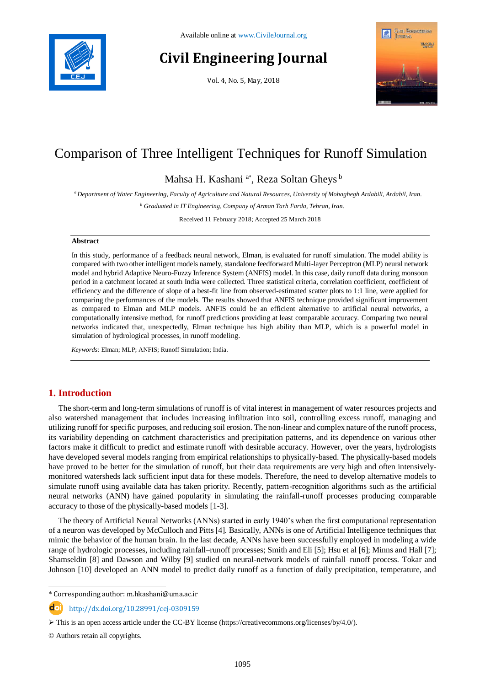

# **Civil Engineering Journal**

Vol. 4, No. 5, May, 2018



## Comparison of Three Intelligent Techniques for Runoff Simulation

Mahsa H. Kashani<sup>a\*</sup>, Reza Soltan Gheys<sup>b</sup>

*<sup>a</sup> Department of Water Engineering, Faculty of Agriculture and Natural Resources, University of Mohaghegh Ardabili, Ardabil, Iran.*

*<sup>b</sup> Graduated in IT Engineering, Company of Arman Tarh Farda, Tehran, Iran.*

Received 11 February 2018; Accepted 25 March 2018

## **Abstract**

In this study, performance of a feedback neural network, Elman, is evaluated for runoff simulation. The model ability is compared with two other intelligent models namely, standalone feedforward Multi-layer Perceptron (MLP) neural network model and hybrid Adaptive Neuro-Fuzzy Inference System (ANFIS) model. In this case, daily runoff data during monsoon period in a catchment located at south India were collected. Three statistical criteria, correlation coefficient, coefficient of efficiency and the difference of slope of a best-fit line from observed-estimated scatter plots to 1:1 line, were applied for comparing the performances of the models. The results showed that ANFIS technique provided significant improvement as compared to Elman and MLP models. ANFIS could be an efficient alternative to artificial neural networks, a computationally intensive method, for runoff predictions providing at least comparable accuracy. Comparing two neural networks indicated that, unexpectedly, Elman technique has high ability than MLP, which is a powerful model in simulation of hydrological processes, in runoff modeling.

*Keywords:* Elman; MLP; ANFIS; Runoff Simulation; India.

## **1. Introduction**

The short-term and long-term simulations of runoff is of vital interest in management of water resources projects and also watershed management that includes increasing infiltration into soil, controlling excess runoff, managing and utilizing runoff for specific purposes, and reducing soil erosion. The non-linear and complex nature of the runoff process, its variability depending on catchment characteristics and precipitation patterns, and its dependence on various other factors make it difficult to predict and estimate runoff with desirable accuracy. However, over the years, hydrologists have developed several models ranging from empirical relationships to physically-based. The physically-based models have proved to be better for the simulation of runoff, but their data requirements are very high and often intensivelymonitored watersheds lack sufficient input data for these models. Therefore, the need to develop alternative models to simulate runoff using available data has taken priority. Recently, pattern-recognition algorithms such as the artificial neural networks (ANN) have gained popularity in simulating the rainfall-runoff processes producing comparable accuracy to those of the physically-based models [1-3].

The theory of Artificial Neural Networks (ANNs) started in early 1940's when the first computational representation of a neuron was developed by McCulloch and Pitts [4]. Basically, ANNs is one of Artificial Intelligence techniques that mimic the behavior of the human brain. In the last decade, ANNs have been successfully employed in modeling a wide range of hydrologic processes, including rainfall–runoff processes; Smith and Eli [5]; Hsu et al [6]; Minns and Hall [7]; Shamseldin [8] and Dawson and Wilby [9] studied on neural-network models of rainfall–runoff process. Tokar and Johnson [10] developed an ANN model to predict daily runoff as a function of daily precipitation, temperature, and

l \* Corresponding author: m.hkashani@uma.ac.ir

http://dx.doi.org/10.28991/cej-0309159

© Authors retain all copyrights.

 $\triangleright$  This is an open access article under the CC-BY license [\(https://creativecommons.org/licenses/by/4.0/\)](https://creativecommons.org/licenses/by/4.0/).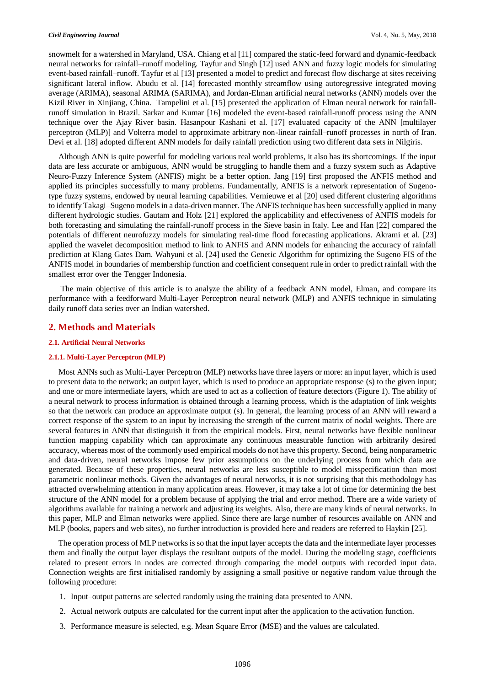snowmelt for a watershed in Maryland, USA. Chiang et al [11] compared the static-feed forward and dynamic-feedback neural networks for rainfall–runoff modeling. Tayfur and Singh [12] used ANN and fuzzy logic models for simulating event-based rainfall–runoff. Tayfur et al [13] presented a model to predict and forecast flow discharge at sites receiving significant lateral inflow. Abudu et al. [14] forecasted monthly streamflow using autoregressive integrated moving average (ARIMA), seasonal ARIMA (SARIMA), and Jordan-Elman artificial neural networks (ANN) models over the Kizil River in Xinjiang, China. Tampelini et al. [15] presented the application of Elman neural network for rainfallrunoff simulation in Brazil. Sarkar and Kumar [16] modeled the event-based rainfall-runoff process using the ANN technique over the Ajay River basin. Hasanpour Kashani et al. [17] evaluated capacity of the ANN [multilayer perceptron (MLP)] and Volterra model to approximate arbitrary non-linear rainfall–runoff processes in north of Iran. Devi et al. [18] adopted different ANN models for daily rainfall prediction using two different data sets in Nilgiris.

Although ANN is quite powerful for modeling various real world problems, it also has its shortcomings. If the input data are less accurate or ambiguous, ANN would be struggling to handle them and a fuzzy system such as Adaptive Neuro-Fuzzy Inference System (ANFIS) might be a better option. Jang [19] first proposed the ANFIS method and applied its principles successfully to many problems. Fundamentally, ANFIS is a network representation of Sugenotype fuzzy systems, endowed by neural learning capabilities. Vernieuwe et al [20] used different clustering algorithms to identify Takagi–Sugeno models in a data-driven manner. The ANFIS technique has been successfully applied in many different hydrologic studies. Gautam and Holz [21] explored the applicability and effectiveness of ANFIS models for both forecasting and simulating the rainfall-runoff process in the Sieve basin in Italy. Lee and Han [22] compared the potentials of different neurofuzzy models for simulating real-time flood forecasting applications. Akrami et al. [23] applied the wavelet decomposition method to link to ANFIS and ANN models for enhancing the accuracy of rainfall prediction at Klang Gates Dam. Wahyuni et al. [24] used the Genetic Algorithm for optimizing the Sugeno FIS of the ANFIS model in boundaries of membership function and coefficient consequent rule in order to predict rainfall with the smallest error over the Tengger Indonesia.

The main objective of this article is to analyze the ability of a feedback ANN model, Elman, and compare its performance with a feedforward Multi-Layer Perceptron neural network (MLP) and ANFIS technique in simulating daily runoff data series over an Indian watershed.

## **2. Methods and Materials**

#### **2.1. Artificial Neural Networks**

#### **2.1.1. Multi-Layer Perceptron (MLP)**

Most ANNs such as Multi-Layer Perceptron (MLP) networks have three layers or more: an input layer, which is used to present data to the network; an output layer, which is used to produce an appropriate response (s) to the given input; and one or more intermediate layers, which are used to act as a collection of feature detectors (Figure 1). The ability of a neural network to process information is obtained through a learning process, which is the adaptation of link weights so that the network can produce an approximate output (s). In general, the learning process of an ANN will reward a correct response of the system to an input by increasing the strength of the current matrix of nodal weights. There are several features in ANN that distinguish it from the empirical models. First, neural networks have flexible nonlinear function mapping capability which can approximate any continuous measurable function with arbitrarily desired accuracy, whereas most of the commonly used empirical models do not have this property. Second, being nonparametric and data-driven, neural networks impose few prior assumptions on the underlying process from which data are generated. Because of these properties, neural networks are less susceptible to model misspecification than most parametric nonlinear methods. Given the advantages of neural networks, it is not surprising that this methodology has attracted overwhelming attention in many application areas. However, it may take a lot of time for determining the best structure of the ANN model for a problem because of applying the trial and error method. There are a wide variety of algorithms available for training a network and adjusting its weights. Also, there are many kinds of neural networks. In this paper, MLP and Elman networks were applied. Since there are large number of resources available on ANN and MLP (books, papers and web sites), no further introduction is provided here and readers are referred to Haykin [25].

The operation process of MLP networks is so that the input layer accepts the data and the intermediate layer processes them and finally the output layer displays the resultant outputs of the model. During the modeling stage, coefficients related to present errors in nodes are corrected through comparing the model outputs with recorded input data. Connection weights are first initialised randomly by assigning a small positive or negative random value through the following procedure:

- 1. Input–output patterns are selected randomly using the training data presented to ANN.
- 2. Actual network outputs are calculated for the current input after the application to the activation function.
- 3. Performance measure is selected, e.g. Mean Square Error (MSE) and the values are calculated.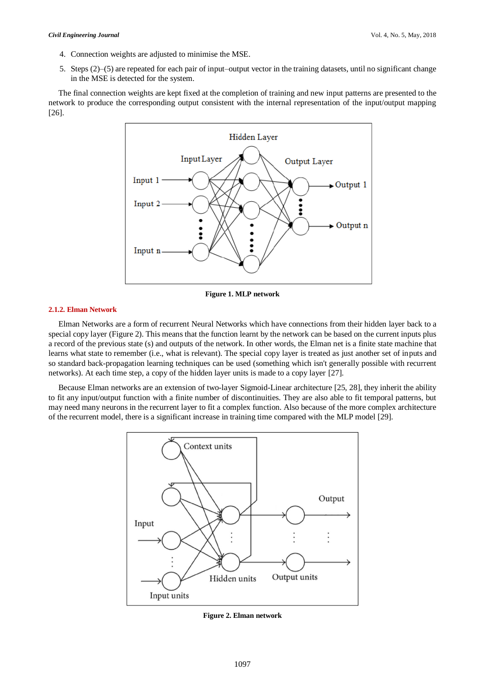#### *Civil Engineering Journal* Vol. 4, No. 5, May, 2018

- 4. Connection weights are adjusted to minimise the MSE.
- 5. Steps (2)–(5) are repeated for each pair of input–output vector in the training datasets, until no significant change in the MSE is detected for the system.

The final connection weights are kept fixed at the completion of training and new input patterns are presented to the network to produce the corresponding output consistent with the internal representation of the input/output mapping [26].



**Figure 1. MLP network**

## **2.1.2. Elman Network**

Elman Networks are a form of recurrent [Neural Networks](http://wiki.tcl.tk/8751) which have connections from their hidden layer back to a special copy layer (Figure 2). This means that the function learnt by the network can be based on the current inputs plus a record of the previous state (s) and outputs of the network. In other words, the Elman net is a [finite state machine](http://wiki.tcl.tk/8733) that learns what state to remember (i.e., what is relevant). The special copy layer is treated as just another set of inputs and so standard back-propagation learning techniques can be used (something which isn't generally possible with recurrent networks). At each time step, a copy of the hidden layer units is made to a copy layer [27].

Because Elman networks are an extension of two-layer Sigmoid-Linear architecture [25, 28], they inherit the ability to fit any input/output function with a finite number of discontinuities. They are also able to fit temporal patterns, but may need many neurons in the recurrent layer to fit a complex function. Also because of the more complex architecture of the recurrent model, there is a significant increase in training time compared with the MLP model [29].



**Figure 2. Elman network**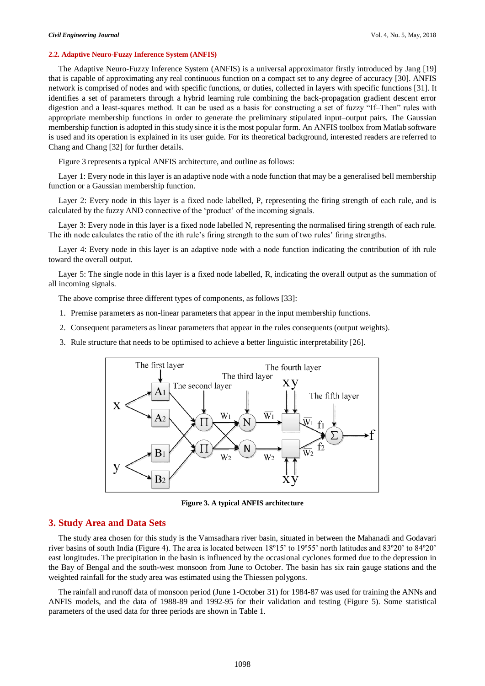#### **2.2. Adaptive Neuro-Fuzzy Inference System (ANFIS)**

The Adaptive Neuro-Fuzzy Inference System (ANFIS) is a universal approximator firstly introduced by Jang [19] that is capable of approximating any real continuous function on a compact set to any degree of accuracy [30]. ANFIS network is comprised of nodes and with specific functions, or duties, collected in layers with specific functions [31]. It identifies a set of parameters through a hybrid learning rule combining the back-propagation gradient descent error digestion and a least-squares method. It can be used as a basis for constructing a set of fuzzy "If–Then" rules with appropriate membership functions in order to generate the preliminary stipulated input–output pairs. The Gaussian membership function is adopted in this study since it is the most popular form. An ANFIS toolbox from Matlab software is used and its operation is explained in its user guide. For its theoretical background, interested readers are referred to Chang and Chang [32] for further details.

Figure 3 represents a typical ANFIS architecture, and outline as follows:

Layer 1: Every node in this layer is an adaptive node with a node function that may be a generalised bell membership function or a Gaussian membership function.

Layer 2: Every node in this layer is a fixed node labelled, P, representing the firing strength of each rule, and is calculated by the fuzzy AND connective of the 'product' of the incoming signals.

Layer 3: Every node in this layer is a fixed node labelled N, representing the normalised firing strength of each rule. The ith node calculates the ratio of the ith rule's firing strength to the sum of two rules' firing strengths.

Layer 4: Every node in this layer is an adaptive node with a node function indicating the contribution of ith rule toward the overall output.

Layer 5: The single node in this layer is a fixed node labelled, R, indicating the overall output as the summation of all incoming signals.

The above comprise three different types of components, as follows [33]:

- 1. Premise parameters as non-linear parameters that appear in the input membership functions.
- 2. Consequent parameters as linear parameters that appear in the rules consequents (output weights).
- 3. Rule structure that needs to be optimised to achieve a better linguistic interpretability [26].



**Figure 3. A typical ANFIS architecture**

## **3. Study Area and Data Sets**

The study area chosen for this study is the Vamsadhara river basin, situated in between the Mahanadi and Godavari river basins of south India (Figure 4). The area is located between 18º15' to 19º55' north latitudes and 83º20' to 84º20' east longitudes. The precipitation in the basin is influenced by the occasional cyclones formed due to the depression in the Bay of Bengal and the south-west monsoon from June to October. The basin has six rain gauge stations and the weighted rainfall for the study area was estimated using the Thiessen polygons.

The rainfall and runoff data of monsoon period (June 1-October 31) for 1984-87 was used for training the ANNs and ANFIS models, and the data of 1988-89 and 1992-95 for their validation and testing (Figure 5). Some statistical parameters of the used data for three periods are shown in Table 1.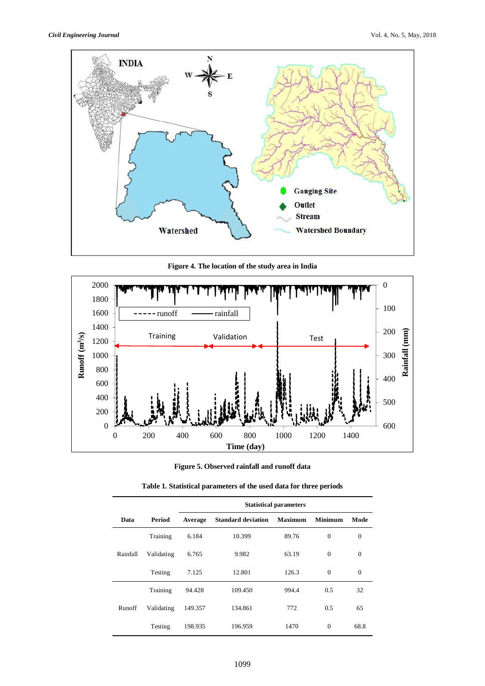

**Figure 4. The location of the study area in India**



## **Figure 5. Observed rainfall and runoff data**

|          |            | <b>Statistical parameters</b> |                           |                |                |              |  |  |
|----------|------------|-------------------------------|---------------------------|----------------|----------------|--------------|--|--|
| Data     | Period     | Average                       | <b>Standard deviation</b> | <b>Maximum</b> | <b>Minimum</b> | Mode         |  |  |
|          | Training   | 6.184                         | 10.399                    | 89.76          | $\Omega$       | $\mathbf{0}$ |  |  |
| Rainfall | Validating | 6.765                         | 9.982                     | 63.19          | $\mathbf{0}$   | $\mathbf{0}$ |  |  |
|          | Testing    | 7.125                         | 12.801                    | 126.3          | $\Omega$       | $\mathbf{0}$ |  |  |
|          | Training   | 94.428                        | 109.450                   | 994.4          | 0.5            | 32           |  |  |
| Runoff   | Validating | 149.357                       | 134.861                   | 772            | 0.5            | 65           |  |  |
|          | Testing    | 198.935                       | 196.959                   | 1470           | $\Omega$       | 68.8         |  |  |

| Table 1. Statistical parameters of the used data for three periods |
|--------------------------------------------------------------------|
|--------------------------------------------------------------------|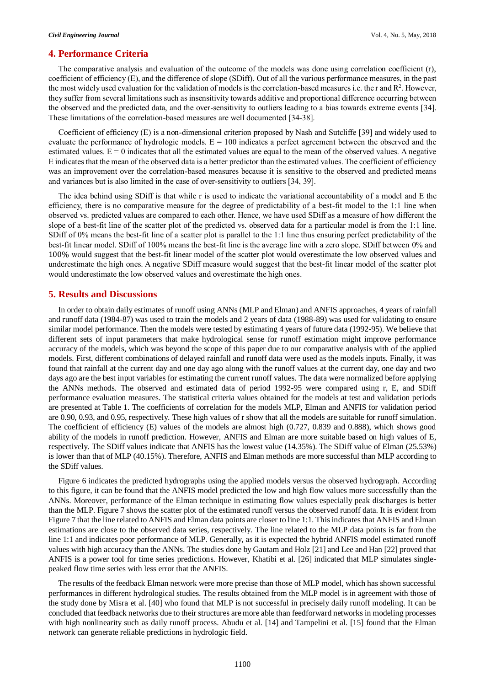## **4. Performance Criteria**

The comparative analysis and evaluation of the outcome of the models was done using correlation coefficient (r), coefficient of efficiency (E), and the difference of slope (SDiff). Out of all the various performance measures, in the past the most widely used evaluation for the validation of models is the correlation-based measures i.e. the r and  $R<sup>2</sup>$ . However, they suffer from several limitations such as insensitivity towards additive and proportional difference occurring between the observed and the predicted data, and the over-sensitivity to outliers leading to a bias towards extreme events [34]. These limitations of the correlation-based measures are well documented [34-38].

Coefficient of efficiency (E) is a non-dimensional criterion proposed by Nash and Sutcliffe [39] and widely used to evaluate the performance of hydrologic models.  $E = 100$  indicates a perfect agreement between the observed and the estimated values.  $E = 0$  indicates that all the estimated values are equal to the mean of the observed values. A negative E indicates that the mean of the observed data is a better predictor than the estimated values. The coefficient of efficiency was an improvement over the correlation-based measures because it is sensitive to the observed and predicted means and variances but is also limited in the case of over-sensitivity to outliers [34, 39].

The idea behind using SDiff is that while r is used to indicate the variational accountability of a model and E the efficiency, there is no comparative measure for the degree of predictability of a best-fit model to the 1:1 line when observed vs. predicted values are compared to each other. Hence, we have used SDiff as a measure of how different the slope of a best-fit line of the scatter plot of the predicted vs. observed data for a particular model is from the 1:1 line. SDiff of 0% means the best-fit line of a scatter plot is parallel to the 1:1 line thus ensuring perfect predictability of the best-fit linear model. SDiff of 100% means the best-fit line is the average line with a zero slope. SDiff between 0% and 100% would suggest that the best-fit linear model of the scatter plot would overestimate the low observed values and underestimate the high ones. A negative SDiff measure would suggest that the best-fit linear model of the scatter plot would underestimate the low observed values and overestimate the high ones.

## **5. Results and Discussions**

In order to obtain daily estimates of runoff using ANNs (MLP and Elman) and ANFIS approaches, 4 years of rainfall and runoff data (1984-87) was used to train the models and 2 years of data (1988-89) was used for validating to ensure similar model performance. Then the models were tested by estimating 4 years of future data (1992-95). We believe that different sets of input parameters that make hydrological sense for runoff estimation might improve performance accuracy of the models, which was beyond the scope of this paper due to our comparative analysis with of the applied models. First, different combinations of delayed rainfall and runoff data were used as the models inputs. Finally, it was found that rainfall at the current day and one day ago along with the runoff values at the current day, one day and two days ago are the best input variables for estimating the current runoff values. The data were normalized before applying the ANNs methods. The observed and estimated data of period 1992-95 were compared using r, E, and SDiff performance evaluation measures. The statistical criteria values obtained for the models at test and validation periods are presented at Table 1. The coefficients of correlation for the models MLP, Elman and ANFIS for validation period are 0.90, 0.93, and 0.95, respectively. These high values of r show that all the models are suitable for runoff simulation. The coefficient of efficiency (E) values of the models are almost high (0.727, 0.839 and 0.888), which shows good ability of the models in runoff prediction. However, ANFIS and Elman are more suitable based on high values of E, respectively. The SDiff values indicate that ANFIS has the lowest value (14.35%). The SDiff value of Elman (25.53%) is lower than that of MLP (40.15%). Therefore, ANFIS and Elman methods are more successful than MLP according to the SDiff values.

Figure 6 indicates the predicted hydrographs using the applied models versus the observed hydrograph. According to this figure, it can be found that the ANFIS model predicted the low and high flow values more successfully than the ANNs. Moreover, performance of the Elman technique in estimating flow values especially peak discharges is better than the MLP. Figure 7 shows the scatter plot of the estimated runoff versus the observed runoff data. It is evident from Figure 7 that the line related to ANFIS and Elman data points are closer to line 1:1. This indicates that ANFIS and Elman estimations are close to the observed data series, respectively. The line related to the MLP data points is far from the line 1:1 and indicates poor performance of MLP. Generally, as it is expected the hybrid ANFIS model estimated runoff values with high accuracy than the ANNs. The studies done by Gautam and Holz [21] and Lee and Han [22] proved that ANFIS is a power tool for time series predictions. However, Khatibi et al. [26] indicated that MLP simulates singlepeaked flow time series with less error that the ANFIS.

The results of the feedback Elman network were more precise than those of MLP model, which has shown successful performances in different hydrological studies. The results obtained from the MLP model is in agreement with those of the study done by Misra et al. [40] who found that MLP is not successful in precisely daily runoff modeling. It can be concluded that feedback networks due to their structures are more able than feedforward networks in modeling processes with high nonlinearity such as daily runoff process. Abudu et al. [14] and Tampelini et al. [15] found that the Elman network can generate reliable predictions in hydrologic field.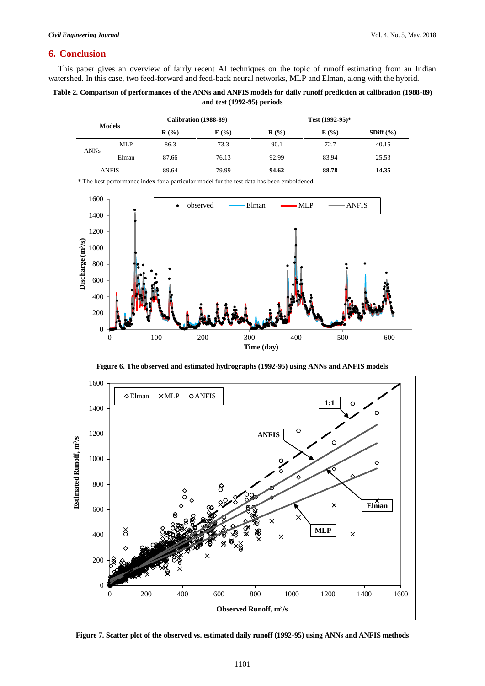## **6. Conclusion**

This paper gives an overview of fairly recent AI techniques on the topic of runoff estimating from an Indian watershed. In this case, two feed-forward and feed-back neural networks, MLP and Elman, along with the hybrid.

## **Table 2. Comparison of performances of the ANNs and ANFIS models for daily runoff prediction at calibration (1988-89) and test (1992-95) periods**

| <b>Models</b> |            | Calibration (1988-89) |       | Test $(1992-95)*$ |       |               |
|---------------|------------|-----------------------|-------|-------------------|-------|---------------|
|               |            | $\mathbf{R}$ (%)      | E(%)  | $\mathbf{R}$ (%)  | E(%)  | SDiff $(\% )$ |
| <b>ANNs</b>   | <b>MLP</b> | 86.3                  | 73.3  | 90.1              | 72.7  | 40.15         |
|               | Elman      | 87.66                 | 76.13 | 92.99             | 83.94 | 25.53         |
| <b>ANFIS</b>  |            | 89.64                 | 79.99 | 94.62             | 88.78 | 14.35         |

\* The best performance index for a particular model for the test data has been emboldened.



**Figure 6. The observed and estimated hydrographs (1992-95) using ANNs and ANFIS models**



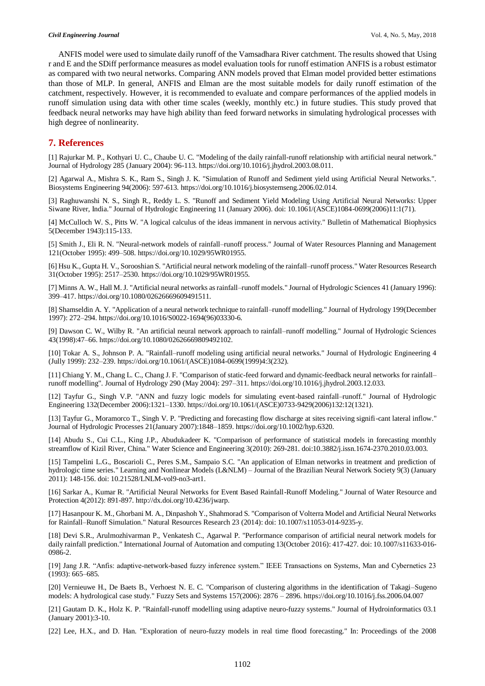ANFIS model were used to simulate daily runoff of the Vamsadhara River catchment. The results showed that Using r and E and the SDiff performance measures as model evaluation tools for runoff estimation ANFIS is a robust estimator as compared with two neural networks. Comparing ANN models proved that Elman model provided better estimations than those of MLP. In general, ANFIS and Elman are the most suitable models for daily runoff estimation of the catchment, respectively. However, it is recommended to evaluate and compare performances of the applied models in runoff simulation using data with other time scales (weekly, monthly etc.) in future studies. This study proved that feedback neural networks may have high ability than feed forward networks in simulating hydrological processes with high degree of nonlinearity.

## **7. References**

[1] Rajurkar M. P., Kothyari U. C., Chaube U. C. "Modeling of the daily rainfall-runoff relationship with artificial neural network." Journal of Hydrology 285 (January 2004): 96-113. https://doi.org/10.1016/j.jhydrol.2003.08.011.

[2] Agarwal A., Mishra S. K., Ram S., Singh J. K. "Simulation of Runoff and Sediment yield using Artificial Neural Networks.". Biosystems Engineering 94(2006): 597-613. https://doi.org/10.1016/j.biosystemseng.2006.02.014.

[3] Raghuwanshi N. S., Singh R., Reddy L. S. "Runoff and Sediment Yield Modeling Using Artificial Neural Networks: Upper Siwane River, India." Journal of Hydrologic Engineering 11 (January 2006). doi: 10.1061/(ASCE)1084-0699(2006)11:1(71).

[4] McCulloch W. S., Pitts W. "A logical calculus of the ideas immanent in nervous activity." Bulletin of Mathematical Biophysics 5(December 1943):115-133.

[5] Smith J., Eli R. N. "Neural-network models of rainfall–runoff process." Journal of Water Resources Planning and Management 121(October 1995): 499–508. https://doi.org/10.1029/95WR01955.

[6] Hsu K., Gupta H. V., Sorooshian S. "Artificial neural network modeling of the rainfall–runoff process." Water Resources Research 31(October 1995): 2517–2530. https://doi.org/10.1029/95WR01955.

[7] Minns A. W., Hall M. J. "Artificial neural networks as rainfall–runoff models." Journal of Hydrologic Sciences 41 (January 1996): 399–417. https://doi.org/10.1080/02626669609491511.

[8] Shamseldin A. Y. "Application of a neural network technique to rainfall–runoff modelling." Journal of Hydrology 199(December 1997): 272–294. https://doi.org/10.1016/S0022-1694(96)03330-6.

[9] Dawson C. W., Wilby R. "An artificial neural network approach to rainfall–runoff modelling." Journal of Hydrologic Sciences 43(1998):47–66. https://doi.org/10.1080/02626669809492102.

[10] Tokar A. S., Johnson P. A. "Rainfall–runoff modeling using artificial neural networks." Journal of Hydrologic Engineering 4 (Jully 1999): 232–239. https://doi.org/10.1061/(ASCE)1084-0699(1999)4:3(232).

[11] Chiang Y. M., Chang L. C., Chang J. F. "Comparison of static-feed forward and dynamic-feedback neural networks for rainfall– runoff modelling". Journal of Hydrology 290 (May 2004): 297–311. https://doi.org/10.1016/j.jhydrol.2003.12.033.

[12] Tayfur G., Singh V.P. "ANN and fuzzy logic models for simulating event-based rainfall–runoff." Journal of Hydrologic Engineering 132(December 2006):1321–1330. https://doi.org/10.1061/(ASCE)0733-9429(2006)132:12(1321).

[13] Tayfur G., Moramorco T., Singh V. P. "Predicting and forecasting flow discharge at sites receiving signifi-cant lateral inflow." Journal of Hydrologic Processes 21(January 2007):1848–1859. https://doi.org/10.1002/hyp.6320.

[14] Abudu S., Cui C.L., King J.P., Abudukadeer K. "Comparison of performance of statistical models in forecasting monthly streamflow of Kizil River, China." Water Science and Engineering 3(2010): 269-281. doi:10.3882/j.issn.1674-2370.2010.03.003.

[15] Tampelini L.G., Boscarioli C., Peres S.M., Sampaio S.C. "An application of Elman networks in treatment and prediction of hydrologic time series." Learning and Nonlinear Models (L&NLM) – Journal of the Brazilian Neural Network Society 9(3) (January 2011): 148-156. doi: 10.21528/LNLM-vol9-no3-art1.

[16] Sarkar A., Kumar R. "Artificial Neural Networks for Event Based Rainfall-Runoff Modeling." Journal of Water Resource and Protection 4(2012): 891-897. http://dx.doi.org/10.4236/jwarp.

[17] Hasanpour K. M., Ghorbani M. A., Dinpashoh Y., Shahmorad S. "Comparison of Volterra Model and Artificial Neural Networks for Rainfall–Runoff Simulation." Natural Resources Research 23 (2014): doi: 10.1007/s11053-014-9235-y.

[18] Devi S.R., Arulmozhivarman P., Venkatesh C., Agarwal P. "Performance comparison of artificial neural network models for daily rainfall prediction." International Journal of Automation and computing 13(October 2016): 417-427. doi: 10.1007/s11633-016- 0986-2.

[19] Jang J.R. "Anfis: adaptive-network-based fuzzy inference system." IEEE Transactions on Systems, Man and Cybernetics 23 (1993): 665–685.

[20] Vernieuwe H., De Baets B., Verhoest N. E. C. "Comparison of clustering algorithms in the identification of Takagi–Sugeno models: A hydrological case study." Fuzzy Sets and Systems 157(2006): 2876 – 2896. https://doi.org/10.1016/j.fss.2006.04.007

[21] Gautam D. K., Holz K. P. "Rainfall-runoff modelling using adaptive neuro-fuzzy systems." Journal of Hydroinformatics 03.1 (January 2001):3-10.

[22] Lee, H.X., and D. Han. "Exploration of neuro-fuzzy models in real time flood forecasting." In: Proceedings of the 2008